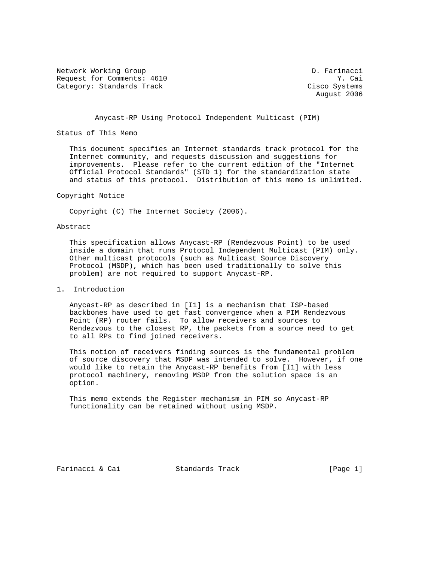Network Working Group D. Farinacci Request for Comments: 4610 Y. Cai Category: Standards Track Cisco Systems

August 2006

Anycast-RP Using Protocol Independent Multicast (PIM)

Status of This Memo

 This document specifies an Internet standards track protocol for the Internet community, and requests discussion and suggestions for improvements. Please refer to the current edition of the "Internet Official Protocol Standards" (STD 1) for the standardization state and status of this protocol. Distribution of this memo is unlimited.

#### Copyright Notice

Copyright (C) The Internet Society (2006).

#### Abstract

 This specification allows Anycast-RP (Rendezvous Point) to be used inside a domain that runs Protocol Independent Multicast (PIM) only. Other multicast protocols (such as Multicast Source Discovery Protocol (MSDP), which has been used traditionally to solve this problem) are not required to support Anycast-RP.

### 1. Introduction

 Anycast-RP as described in [I1] is a mechanism that ISP-based backbones have used to get fast convergence when a PIM Rendezvous Point (RP) router fails. To allow receivers and sources to Rendezvous to the closest RP, the packets from a source need to get to all RPs to find joined receivers.

 This notion of receivers finding sources is the fundamental problem of source discovery that MSDP was intended to solve. However, if one would like to retain the Anycast-RP benefits from [I1] with less protocol machinery, removing MSDP from the solution space is an option.

 This memo extends the Register mechanism in PIM so Anycast-RP functionality can be retained without using MSDP.

Farinacci & Cai Standards Track [Page 1]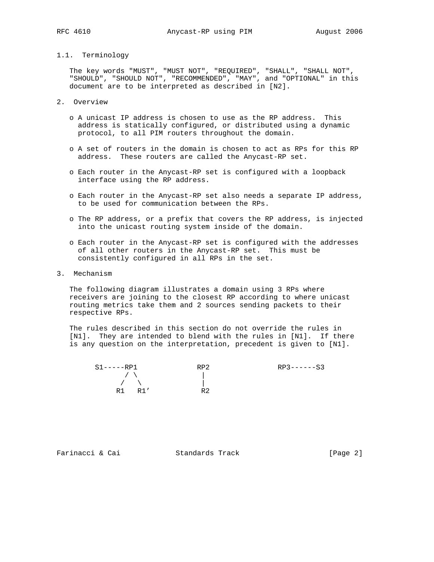# 1.1. Terminology

 The key words "MUST", "MUST NOT", "REQUIRED", "SHALL", "SHALL NOT", "SHOULD", "SHOULD NOT", "RECOMMENDED", "MAY", and "OPTIONAL" in this document are to be interpreted as described in [N2].

- 2. Overview
	- o A unicast IP address is chosen to use as the RP address. This address is statically configured, or distributed using a dynamic protocol, to all PIM routers throughout the domain.
	- o A set of routers in the domain is chosen to act as RPs for this RP address. These routers are called the Anycast-RP set.
	- o Each router in the Anycast-RP set is configured with a loopback interface using the RP address.
	- o Each router in the Anycast-RP set also needs a separate IP address, to be used for communication between the RPs.
	- o The RP address, or a prefix that covers the RP address, is injected into the unicast routing system inside of the domain.
	- o Each router in the Anycast-RP set is configured with the addresses of all other routers in the Anycast-RP set. This must be consistently configured in all RPs in the set.
- 3. Mechanism

 The following diagram illustrates a domain using 3 RPs where receivers are joining to the closest RP according to where unicast routing metrics take them and 2 sources sending packets to their respective RPs.

 The rules described in this section do not override the rules in [N1]. They are intended to blend with the rules in [N1]. If there is any question on the interpretation, precedent is given to [N1].

|                                                         | $RP3----S3$ |
|---------------------------------------------------------|-------------|
| $\sqrt{1}$<br>$\sqrt{2}$<br>R <sub>2</sub><br>R1<br>R1' |             |

Farinacci & Cai Standards Track [Page 2]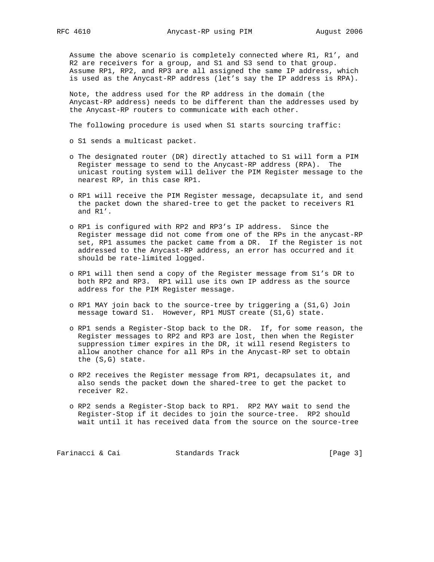Assume the above scenario is completely connected where R1, R1', and R2 are receivers for a group, and S1 and S3 send to that group. Assume RP1, RP2, and RP3 are all assigned the same IP address, which is used as the Anycast-RP address (let's say the IP address is RPA).

 Note, the address used for the RP address in the domain (the Anycast-RP address) needs to be different than the addresses used by the Anycast-RP routers to communicate with each other.

The following procedure is used when S1 starts sourcing traffic:

o S1 sends a multicast packet.

- o The designated router (DR) directly attached to S1 will form a PIM Register message to send to the Anycast-RP address (RPA). The unicast routing system will deliver the PIM Register message to the nearest RP, in this case RP1.
- o RP1 will receive the PIM Register message, decapsulate it, and send the packet down the shared-tree to get the packet to receivers R1 and R1'.
- o RP1 is configured with RP2 and RP3's IP address. Since the Register message did not come from one of the RPs in the anycast-RP set, RP1 assumes the packet came from a DR. If the Register is not addressed to the Anycast-RP address, an error has occurred and it should be rate-limited logged.
- o RP1 will then send a copy of the Register message from S1's DR to both RP2 and RP3. RP1 will use its own IP address as the source address for the PIM Register message.
- o RP1 MAY join back to the source-tree by triggering a (S1,G) Join message toward S1. However, RP1 MUST create (S1,G) state.
- o RP1 sends a Register-Stop back to the DR. If, for some reason, the Register messages to RP2 and RP3 are lost, then when the Register suppression timer expires in the DR, it will resend Registers to allow another chance for all RPs in the Anycast-RP set to obtain the (S,G) state.
- o RP2 receives the Register message from RP1, decapsulates it, and also sends the packet down the shared-tree to get the packet to receiver R2.
- o RP2 sends a Register-Stop back to RP1. RP2 MAY wait to send the Register-Stop if it decides to join the source-tree. RP2 should wait until it has received data from the source on the source-tree

Farinacci & Cai Standards Track [Page 3]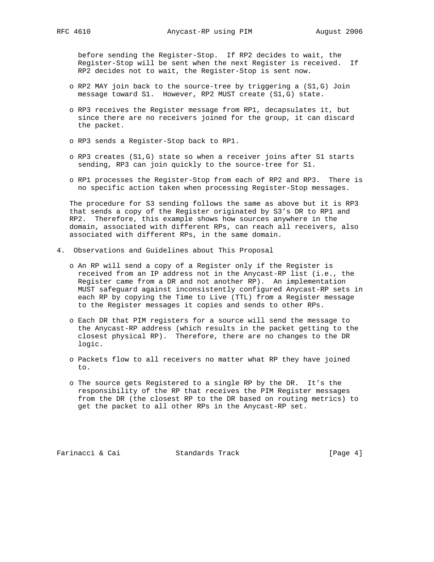before sending the Register-Stop. If RP2 decides to wait, the Register-Stop will be sent when the next Register is received. If RP2 decides not to wait, the Register-Stop is sent now.

- o RP2 MAY join back to the source-tree by triggering a (S1,G) Join message toward S1. However, RP2 MUST create (S1,G) state.
- o RP3 receives the Register message from RP1, decapsulates it, but since there are no receivers joined for the group, it can discard the packet.
- o RP3 sends a Register-Stop back to RP1.
- o RP3 creates (S1,G) state so when a receiver joins after S1 starts sending, RP3 can join quickly to the source-tree for S1.
- o RP1 processes the Register-Stop from each of RP2 and RP3. There is no specific action taken when processing Register-Stop messages.

 The procedure for S3 sending follows the same as above but it is RP3 that sends a copy of the Register originated by S3's DR to RP1 and RP2. Therefore, this example shows how sources anywhere in the domain, associated with different RPs, can reach all receivers, also associated with different RPs, in the same domain.

- 4. Observations and Guidelines about This Proposal
	- o An RP will send a copy of a Register only if the Register is received from an IP address not in the Anycast-RP list (i.e., the Register came from a DR and not another RP). An implementation MUST safeguard against inconsistently configured Anycast-RP sets in each RP by copying the Time to Live (TTL) from a Register message to the Register messages it copies and sends to other RPs.
	- o Each DR that PIM registers for a source will send the message to the Anycast-RP address (which results in the packet getting to the closest physical RP). Therefore, there are no changes to the DR logic.
	- o Packets flow to all receivers no matter what RP they have joined to.
	- o The source gets Registered to a single RP by the DR. It's the responsibility of the RP that receives the PIM Register messages from the DR (the closest RP to the DR based on routing metrics) to get the packet to all other RPs in the Anycast-RP set.

Farinacci & Cai Standards Track [Page 4]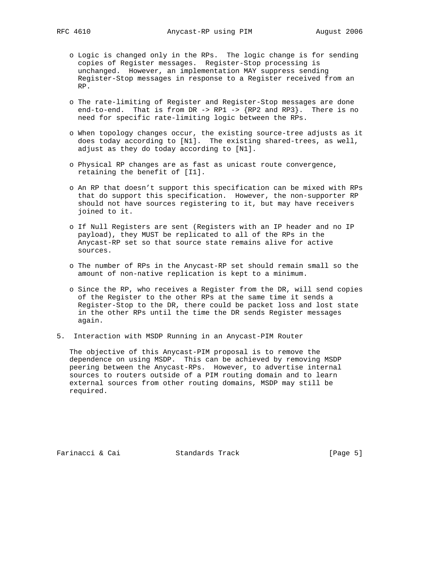- o Logic is changed only in the RPs. The logic change is for sending copies of Register messages. Register-Stop processing is unchanged. However, an implementation MAY suppress sending Register-Stop messages in response to a Register received from an RP.
- o The rate-limiting of Register and Register-Stop messages are done end-to-end. That is from DR  $\rightarrow$  RP1  $\rightarrow$  {RP2 and RP3}. There is no need for specific rate-limiting logic between the RPs.
- o When topology changes occur, the existing source-tree adjusts as it does today according to [N1]. The existing shared-trees, as well, adjust as they do today according to [N1].
- o Physical RP changes are as fast as unicast route convergence, retaining the benefit of [I1].
- o An RP that doesn't support this specification can be mixed with RPs that do support this specification. However, the non-supporter RP should not have sources registering to it, but may have receivers joined to it.
- o If Null Registers are sent (Registers with an IP header and no IP payload), they MUST be replicated to all of the RPs in the Anycast-RP set so that source state remains alive for active sources.
- o The number of RPs in the Anycast-RP set should remain small so the amount of non-native replication is kept to a minimum.
- o Since the RP, who receives a Register from the DR, will send copies of the Register to the other RPs at the same time it sends a Register-Stop to the DR, there could be packet loss and lost state in the other RPs until the time the DR sends Register messages again.
- 5. Interaction with MSDP Running in an Anycast-PIM Router

 The objective of this Anycast-PIM proposal is to remove the dependence on using MSDP. This can be achieved by removing MSDP peering between the Anycast-RPs. However, to advertise internal sources to routers outside of a PIM routing domain and to learn external sources from other routing domains, MSDP may still be required.

Farinacci & Cai Standards Track [Page 5]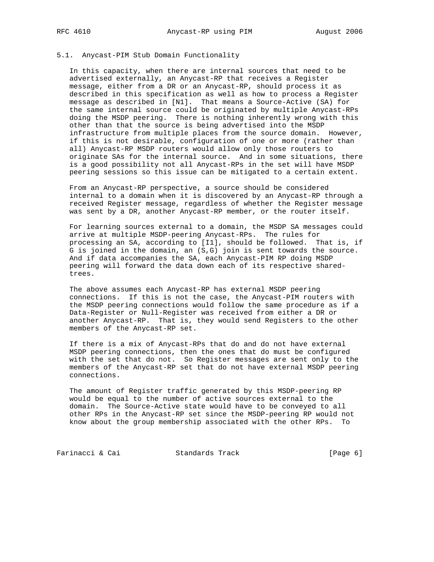# 5.1. Anycast-PIM Stub Domain Functionality

 In this capacity, when there are internal sources that need to be advertised externally, an Anycast-RP that receives a Register message, either from a DR or an Anycast-RP, should process it as described in this specification as well as how to process a Register message as described in [N1]. That means a Source-Active (SA) for the same internal source could be originated by multiple Anycast-RPs doing the MSDP peering. There is nothing inherently wrong with this other than that the source is being advertised into the MSDP infrastructure from multiple places from the source domain. However, if this is not desirable, configuration of one or more (rather than all) Anycast-RP MSDP routers would allow only those routers to originate SAs for the internal source. And in some situations, there is a good possibility not all Anycast-RPs in the set will have MSDP peering sessions so this issue can be mitigated to a certain extent.

 From an Anycast-RP perspective, a source should be considered internal to a domain when it is discovered by an Anycast-RP through a received Register message, regardless of whether the Register message was sent by a DR, another Anycast-RP member, or the router itself.

 For learning sources external to a domain, the MSDP SA messages could arrive at multiple MSDP-peering Anycast-RPs. The rules for processing an SA, according to [I1], should be followed. That is, if G is joined in the domain, an (S,G) join is sent towards the source. And if data accompanies the SA, each Anycast-PIM RP doing MSDP peering will forward the data down each of its respective shared trees.

 The above assumes each Anycast-RP has external MSDP peering connections. If this is not the case, the Anycast-PIM routers with the MSDP peering connections would follow the same procedure as if a Data-Register or Null-Register was received from either a DR or another Anycast-RP. That is, they would send Registers to the other members of the Anycast-RP set.

 If there is a mix of Anycast-RPs that do and do not have external MSDP peering connections, then the ones that do must be configured with the set that do not. So Register messages are sent only to the members of the Anycast-RP set that do not have external MSDP peering connections.

 The amount of Register traffic generated by this MSDP-peering RP would be equal to the number of active sources external to the domain. The Source-Active state would have to be conveyed to all other RPs in the Anycast-RP set since the MSDP-peering RP would not know about the group membership associated with the other RPs. To

Farinacci & Cai Standards Track [Page 6]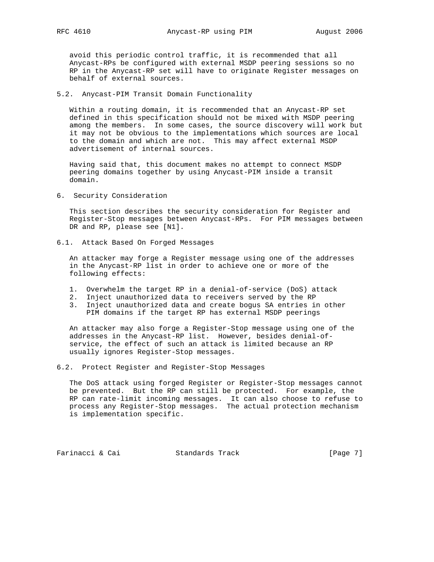avoid this periodic control traffic, it is recommended that all Anycast-RPs be configured with external MSDP peering sessions so no RP in the Anycast-RP set will have to originate Register messages on behalf of external sources.

5.2. Anycast-PIM Transit Domain Functionality

 Within a routing domain, it is recommended that an Anycast-RP set defined in this specification should not be mixed with MSDP peering among the members. In some cases, the source discovery will work but it may not be obvious to the implementations which sources are local to the domain and which are not. This may affect external MSDP advertisement of internal sources.

 Having said that, this document makes no attempt to connect MSDP peering domains together by using Anycast-PIM inside a transit domain.

6. Security Consideration

 This section describes the security consideration for Register and Register-Stop messages between Anycast-RPs. For PIM messages between DR and RP, please see [N1].

6.1. Attack Based On Forged Messages

 An attacker may forge a Register message using one of the addresses in the Anycast-RP list in order to achieve one or more of the following effects:

- 1. Overwhelm the target RP in a denial-of-service (DoS) attack
- 2. Inject unauthorized data to receivers served by the RP
- 3. Inject unauthorized data and create bogus SA entries in other PIM domains if the target RP has external MSDP peerings

 An attacker may also forge a Register-Stop message using one of the addresses in the Anycast-RP list. However, besides denial-of service, the effect of such an attack is limited because an RP usually ignores Register-Stop messages.

6.2. Protect Register and Register-Stop Messages

 The DoS attack using forged Register or Register-Stop messages cannot be prevented. But the RP can still be protected. For example, the RP can rate-limit incoming messages. It can also choose to refuse to process any Register-Stop messages. The actual protection mechanism is implementation specific.

Farinacci & Cai Standards Track [Page 7]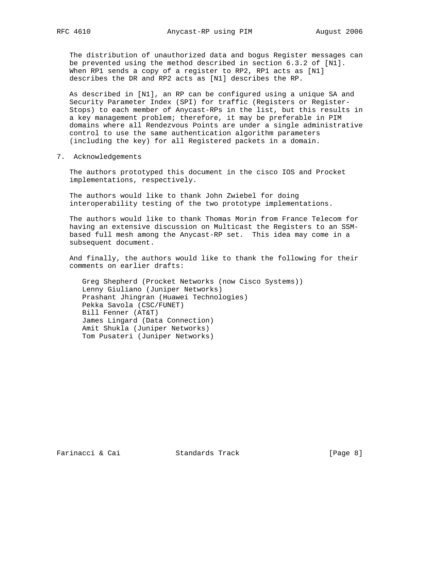The distribution of unauthorized data and bogus Register messages can be prevented using the method described in section 6.3.2 of [N1]. When RP1 sends a copy of a register to RP2, RP1 acts as [N1] describes the DR and RP2 acts as [N1] describes the RP.

 As described in [N1], an RP can be configured using a unique SA and Security Parameter Index (SPI) for traffic (Registers or Register- Stops) to each member of Anycast-RPs in the list, but this results in a key management problem; therefore, it may be preferable in PIM domains where all Rendezvous Points are under a single administrative control to use the same authentication algorithm parameters (including the key) for all Registered packets in a domain.

7. Acknowledgements

 The authors prototyped this document in the cisco IOS and Procket implementations, respectively.

 The authors would like to thank John Zwiebel for doing interoperability testing of the two prototype implementations.

 The authors would like to thank Thomas Morin from France Telecom for having an extensive discussion on Multicast the Registers to an SSM based full mesh among the Anycast-RP set. This idea may come in a subsequent document.

 And finally, the authors would like to thank the following for their comments on earlier drafts:

 Greg Shepherd (Procket Networks (now Cisco Systems)) Lenny Giuliano (Juniper Networks) Prashant Jhingran (Huawei Technologies) Pekka Savola (CSC/FUNET) Bill Fenner (AT&T) James Lingard (Data Connection) Amit Shukla (Juniper Networks) Tom Pusateri (Juniper Networks)

Farinacci & Cai Standards Track [Page 8]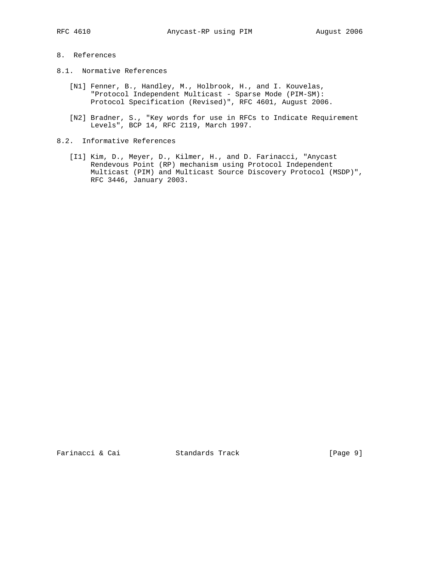# 8. References

- 8.1. Normative References
	- [N1] Fenner, B., Handley, M., Holbrook, H., and I. Kouvelas, "Protocol Independent Multicast - Sparse Mode (PIM-SM): Protocol Specification (Revised)", RFC 4601, August 2006.
	- [N2] Bradner, S., "Key words for use in RFCs to Indicate Requirement Levels", BCP 14, RFC 2119, March 1997.
- 8.2. Informative References
	- [I1] Kim, D., Meyer, D., Kilmer, H., and D. Farinacci, "Anycast Rendevous Point (RP) mechanism using Protocol Independent Multicast (PIM) and Multicast Source Discovery Protocol (MSDP)", RFC 3446, January 2003.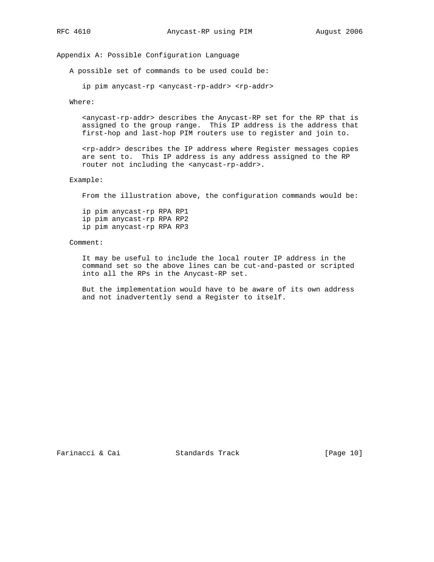Appendix A: Possible Configuration Language

A possible set of commands to be used could be:

ip pim anycast-rp <anycast-rp-addr> <rp-addr>

Where:

 <anycast-rp-addr> describes the Anycast-RP set for the RP that is assigned to the group range. This IP address is the address that first-hop and last-hop PIM routers use to register and join to.

 <rp-addr> describes the IP address where Register messages copies are sent to. This IP address is any address assigned to the RP router not including the <anycast-rp-addr>.

Example:

From the illustration above, the configuration commands would be:

 ip pim anycast-rp RPA RP1 ip pim anycast-rp RPA RP2 ip pim anycast-rp RPA RP3

### Comment:

 It may be useful to include the local router IP address in the command set so the above lines can be cut-and-pasted or scripted into all the RPs in the Anycast-RP set.

 But the implementation would have to be aware of its own address and not inadvertently send a Register to itself.

Farinacci & Cai Standards Track [Page 10]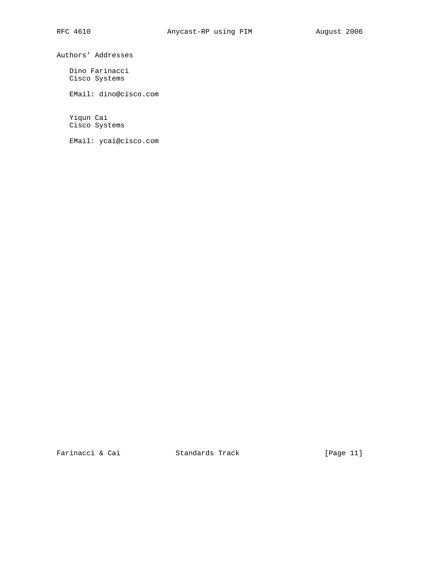Authors' Addresses

 Dino Farinacci Cisco Systems

EMail: dino@cisco.com

 Yiqun Cai Cisco Systems

EMail: ycai@cisco.com

Farinacci & Cai Standards Track [Page 11]